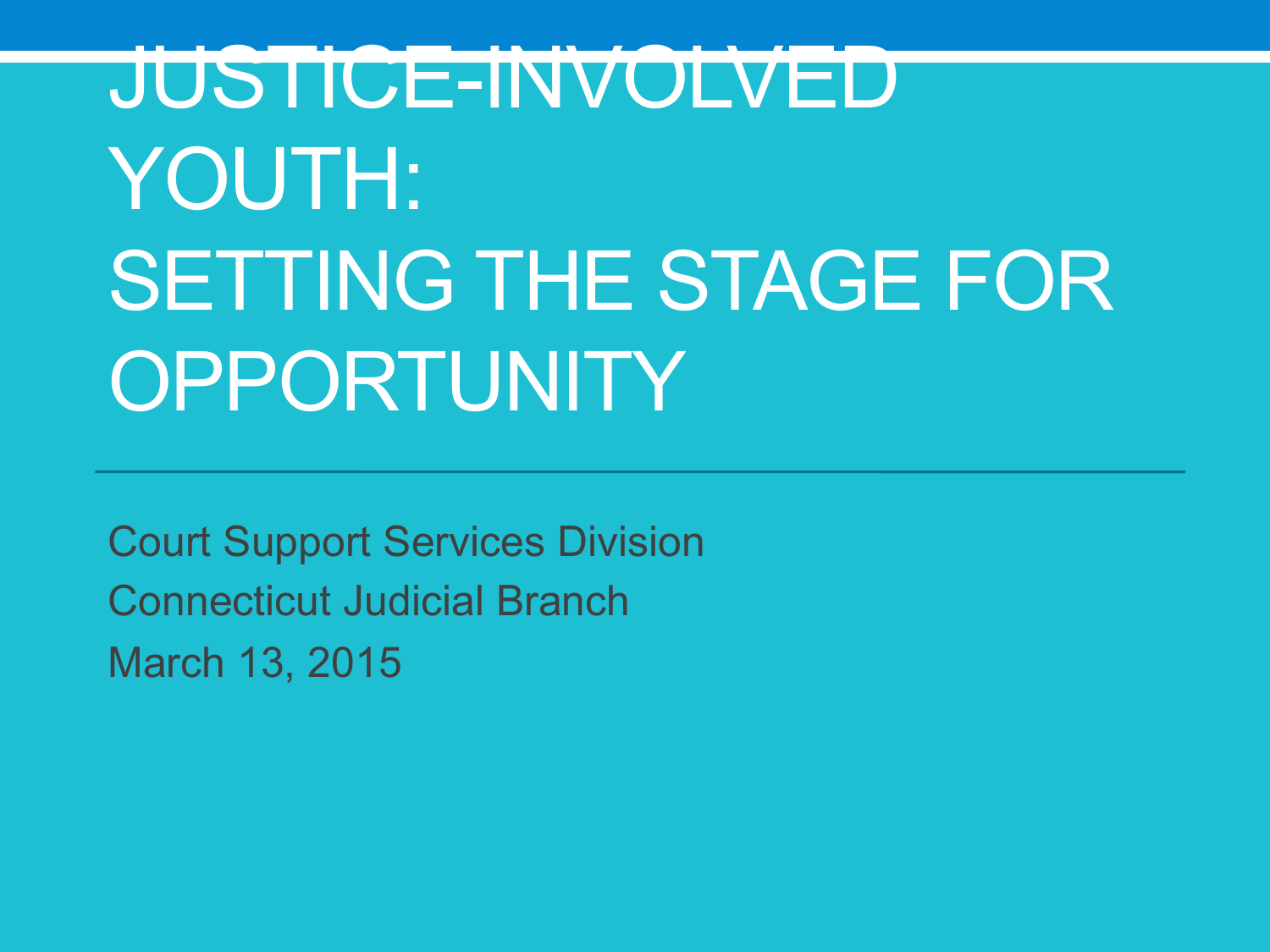# JUSTICE-INVOLVED YOUTH: SETTING THE STAGE FOR **OPPORTUNITY**

Court Support Services Division Connecticut Judicial Branch March 13, 2015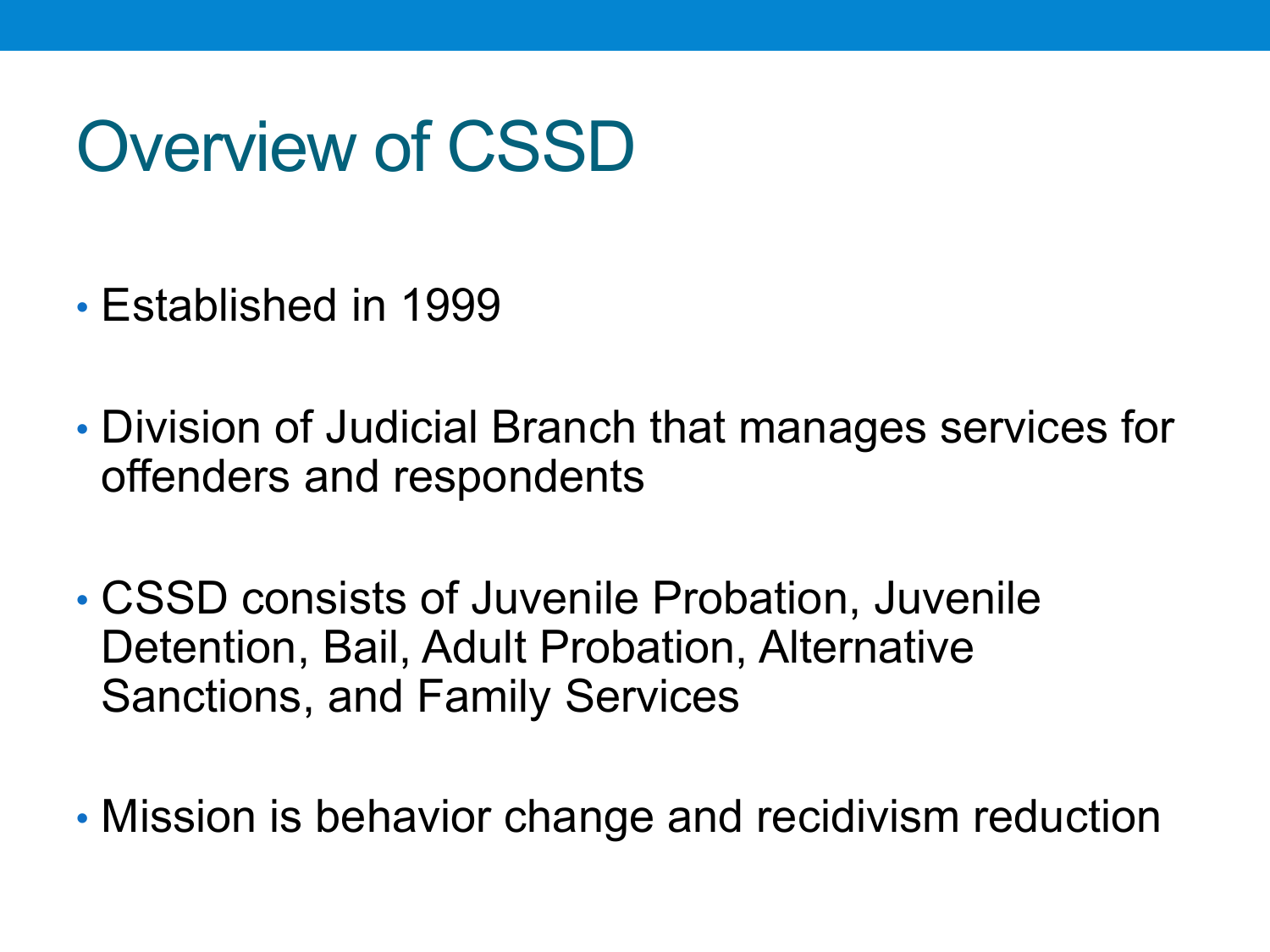### Overview of CSSD

- Established in 1999
- Division of Judicial Branch that manages services for offenders and respondents
- CSSD consists of Juvenile Probation, Juvenile Detention, Bail, Adult Probation, Alternative Sanctions, and Family Services
- Mission is behavior change and recidivism reduction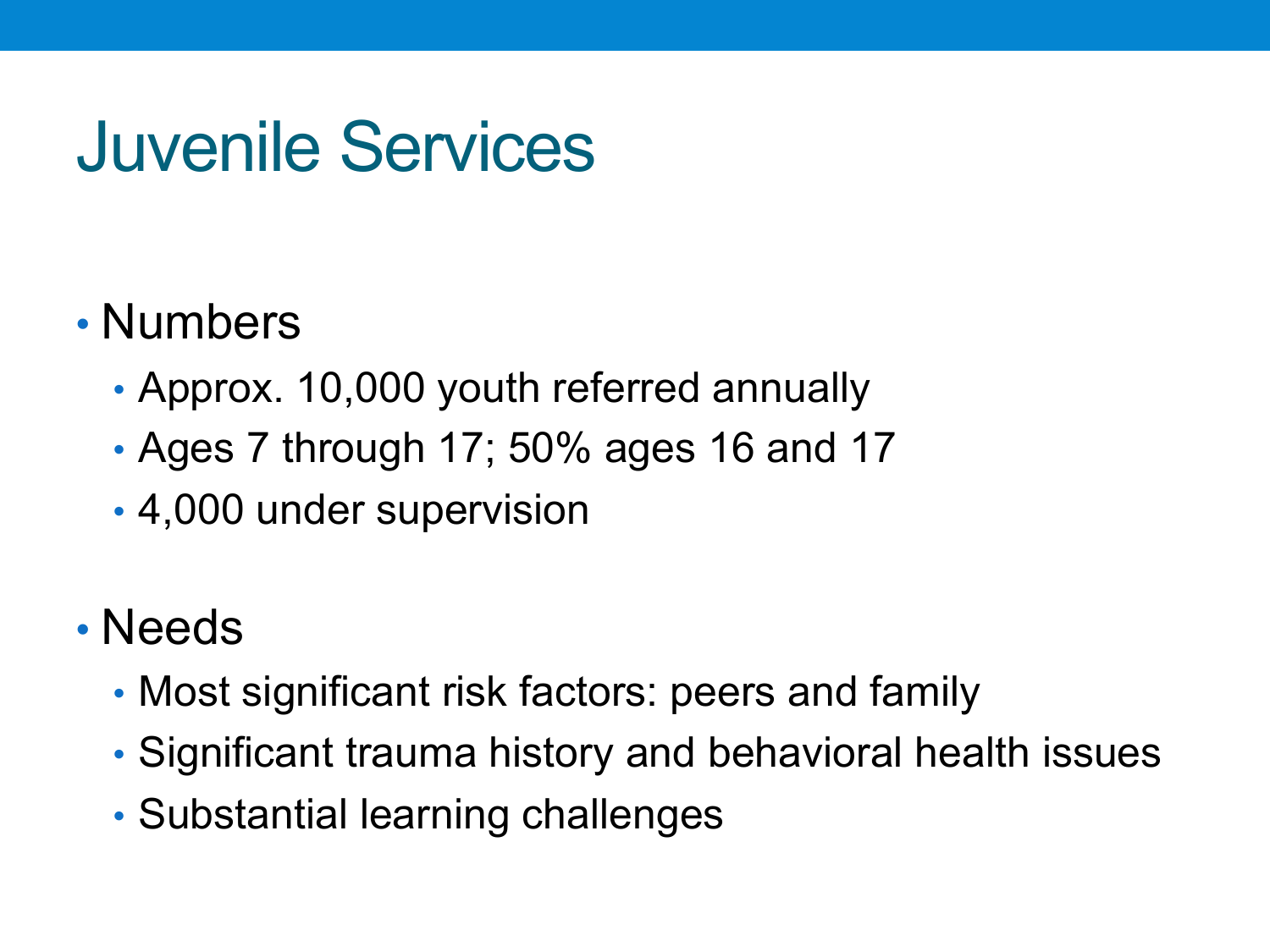### Juvenile Services

#### • Numbers

- Approx. 10,000 youth referred annually
- Ages 7 through 17; 50% ages 16 and 17
- 4,000 under supervision

#### • Needs

- Most significant risk factors: peers and family
- Significant trauma history and behavioral health issues
- Substantial learning challenges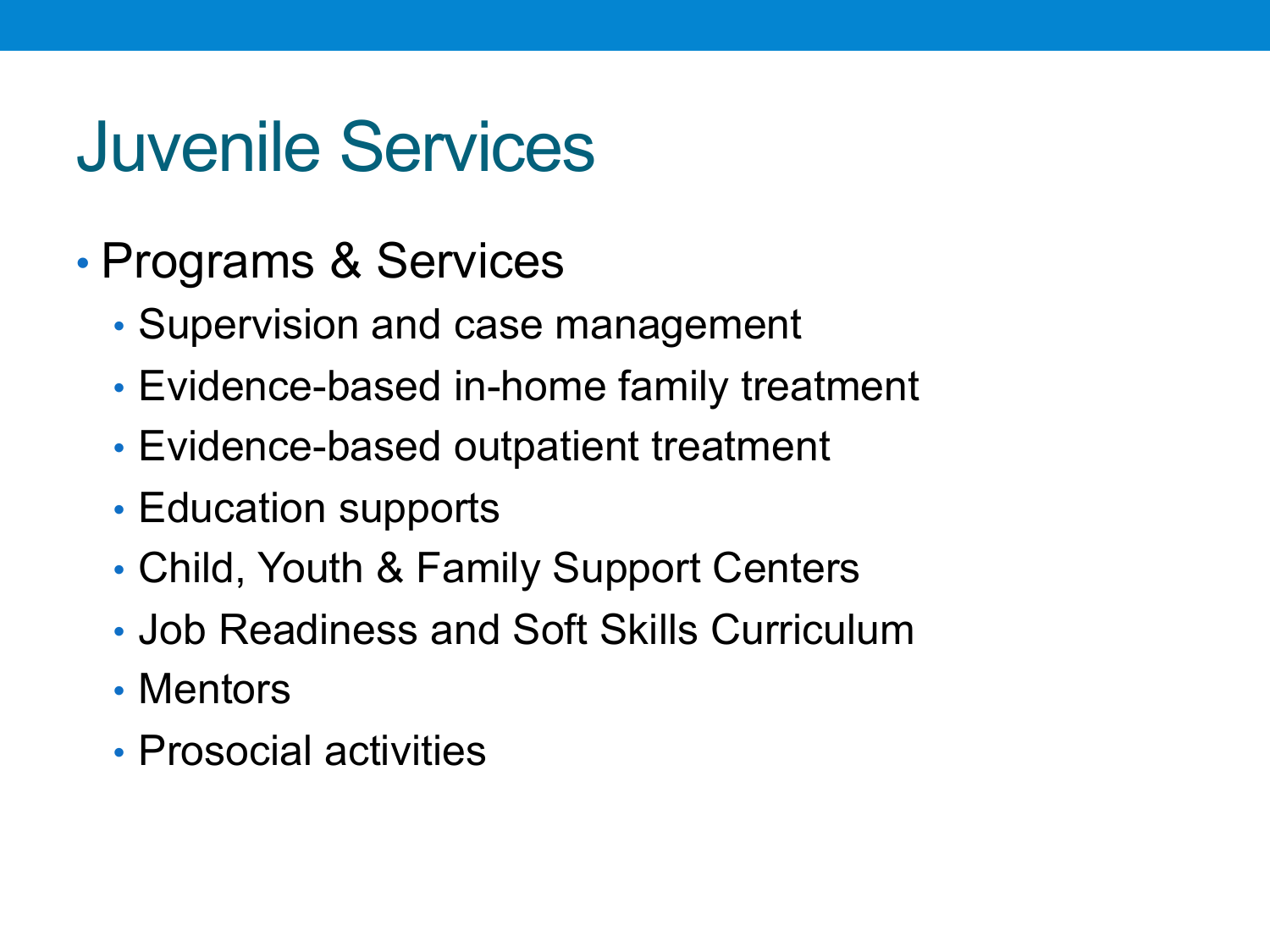### Juvenile Services

- Programs & Services
	- Supervision and case management
	- Evidence-based in-home family treatment
	- Evidence-based outpatient treatment
	- Education supports
	- Child, Youth & Family Support Centers
	- Job Readiness and Soft Skills Curriculum
	- Mentors
	- Prosocial activities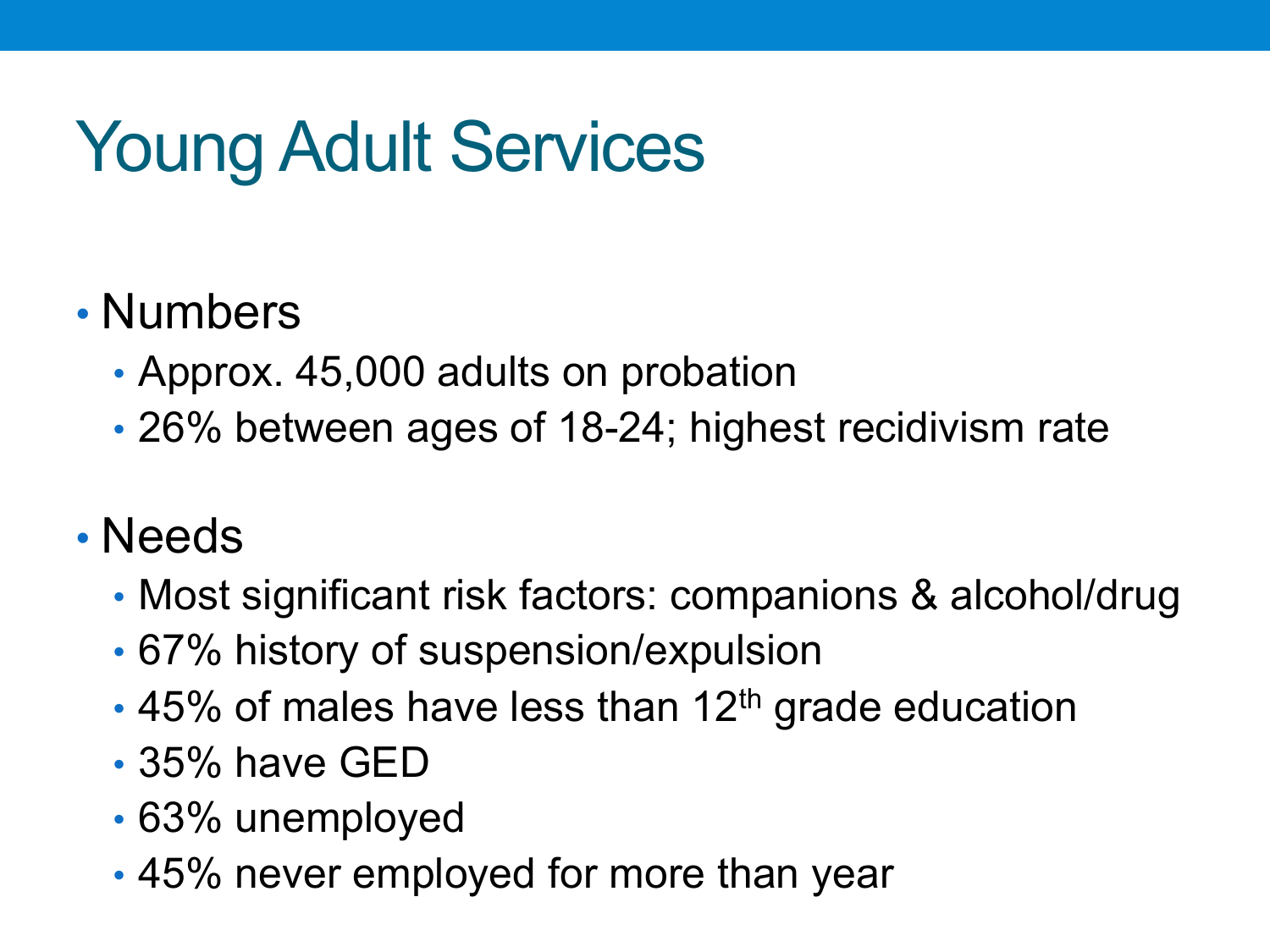# Young Adult Services

#### • Numbers

- Approx. 45,000 adults on probation
- 26% between ages of 18-24; highest recidivism rate

#### • Needs

- Most significant risk factors: companions & alcohol/drug
- 67% history of suspension/expulsion
- $\cdot$  45% of males have less than 12<sup>th</sup> grade education
- 35% have GED
- 63% unemployed
- 45% never employed for more than year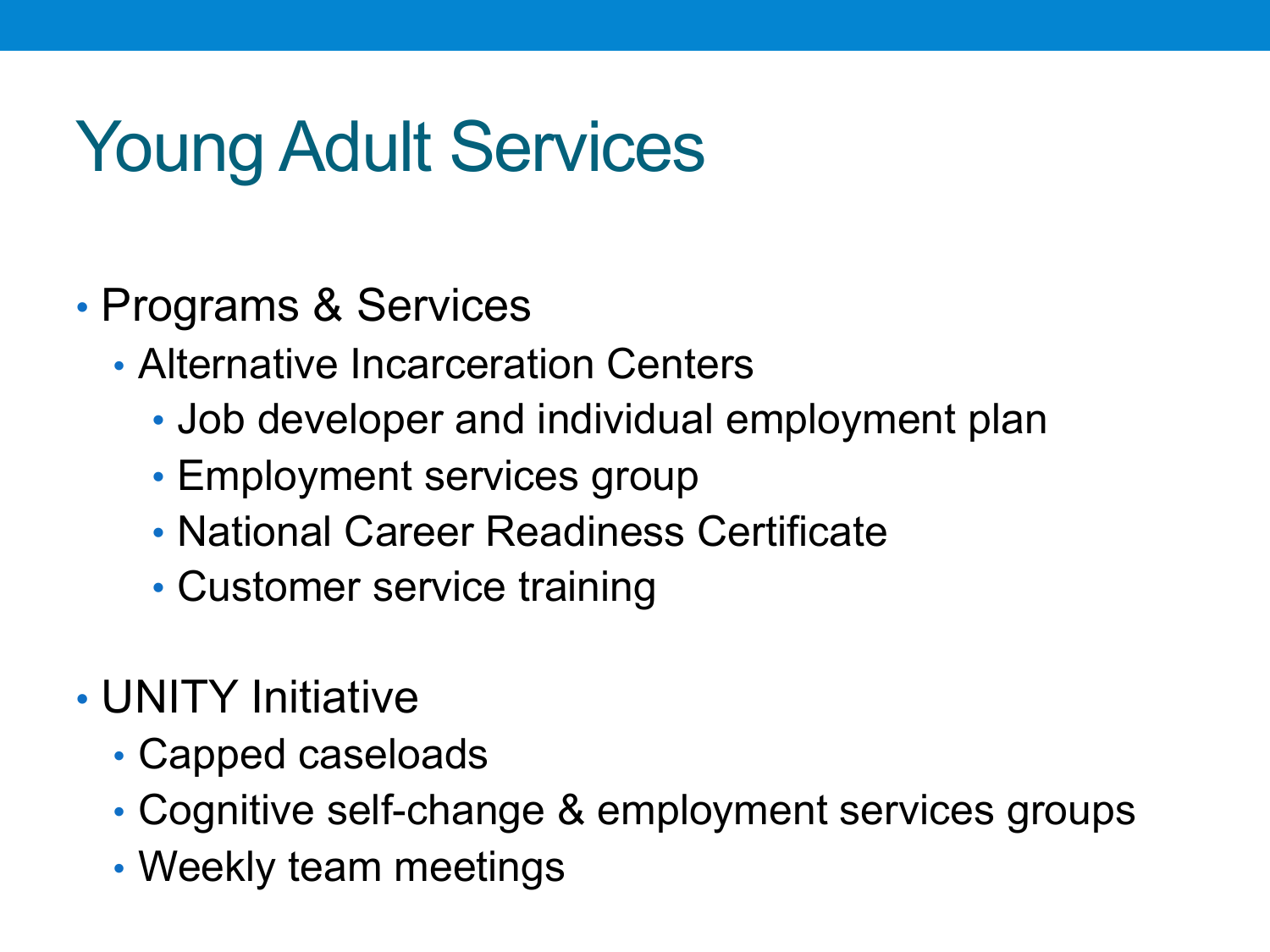## Young Adult Services

- Programs & Services
	- Alternative Incarceration Centers
		- Job developer and individual employment plan
		- Employment services group
		- National Career Readiness Certificate
		- Customer service training
- UNITY Initiative
	- Capped caseloads
	- Cognitive self-change & employment services groups
	- Weekly team meetings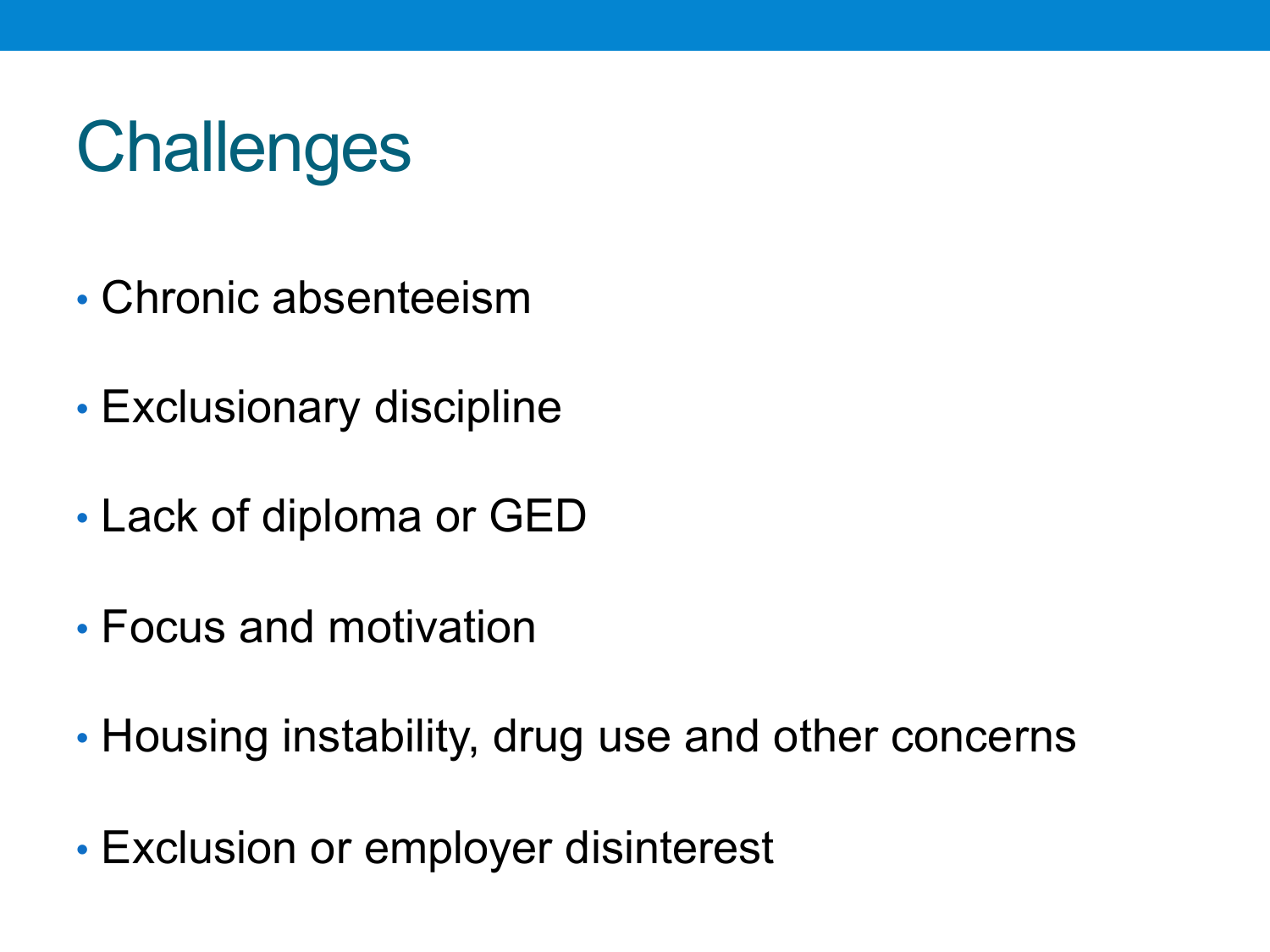# **Challenges**

- Chronic absenteeism
- Exclusionary discipline
- Lack of diploma or GED
- Focus and motivation
- Housing instability, drug use and other concerns
- Exclusion or employer disinterest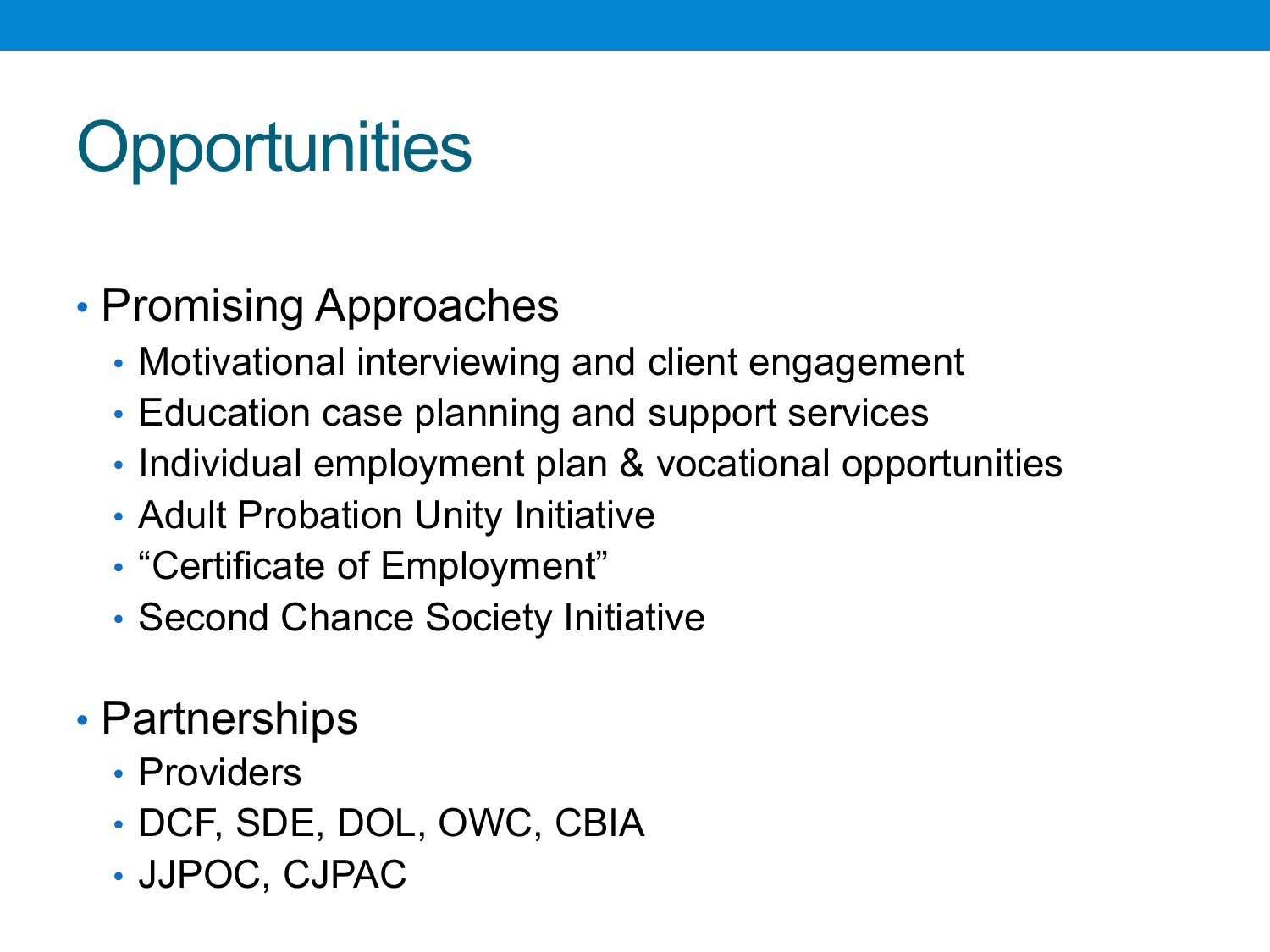# **Opportunities**

- Promising Approaches
	- Motivational interviewing and client engagement
	- Education case planning and support services
	- Individual employment plan & vocational opportunities
	- Adult Probation Unity Initiative
	- "Certificate of Employment"
	- Second Chance Society Initiative
- Partnerships
	- Providers
	- DCF, SDE, DOL, OWC, CBIA
	- JJPOC, CJPAC